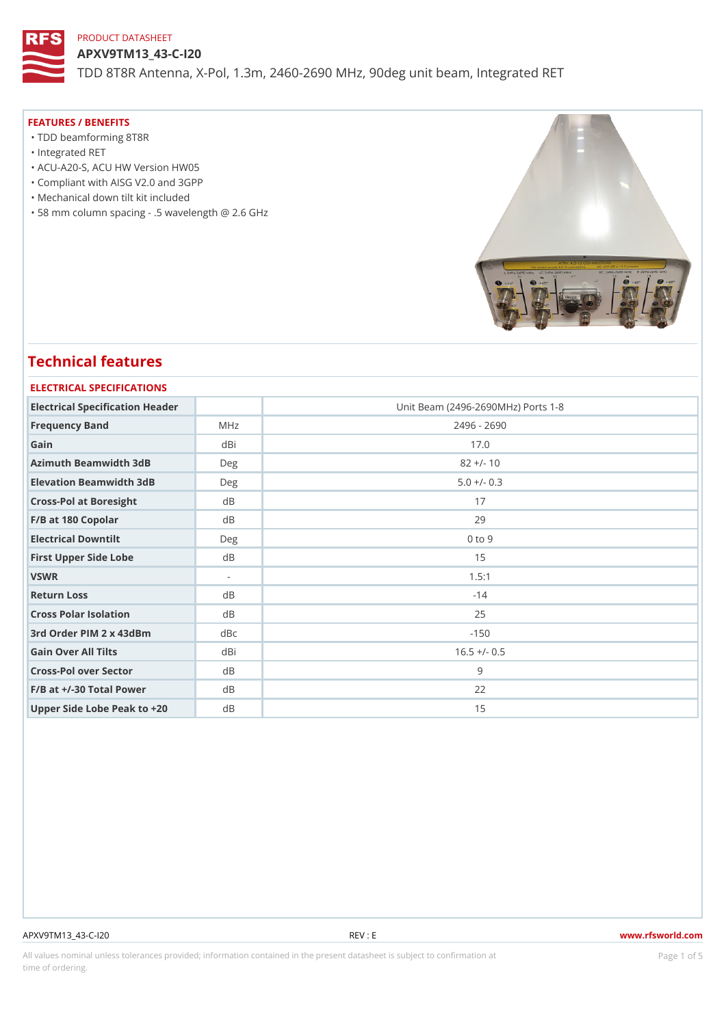APXV9TM13\_43-C-I20 TDD 8T8R Antenna, X-Pol, 1.3m, 2460-2690 MHz, 90deg unit beam, Int

### FEATURES / BENEFITS

- "TDD beamforming 8T8R
- "Integrated RET
- "ACU-A20-S, ACU HW Version HW05
- "Compliant with AISG V2.0 and 3GPP
- "Mechanical down tilt kit included
- "58 mm column spacing .5 wavelength @ 2.6 GHz

## Technical features

# ELECTRICAL SPECIFICATIONS Electrical Specification Header Unit Beam (2496-2690MHz) Ports 1-8 Frequency Band MHz MHz 2496 - 2690 Gain dBi 17.0 Azimuth Beamwidth 3dB Deg 82 +/- 10 Elevation Beamwidth 3dB Deg 5.0 +/- 0.3 Cross-Pol at Boresight dB 17 F/B at 180 Copolar dB dB 29 Electrical Downtilt Deg 0 to 9 First Upper Side Lobe dB dB 15 VSWR 1.5:1 Return Loss dB dB -14 Cross Polar Isolation dB 25 3rd Order PIM 2 x 43dBm dBc -150 Gain Over All Tilts dBi 16.5 +/- 0.5 Cross-Pol over Sector dB 9 F/B at +/-30 Total Power dB 22 Upper Side Lobe Peak to +20B 15

#### APXV9TM13\_43-C-I20 REV : E www.rfsworld.com

All values nominal unless tolerances provided; information contained in the present datasheet is subject to PcaogneionIm Sstid time of ordering.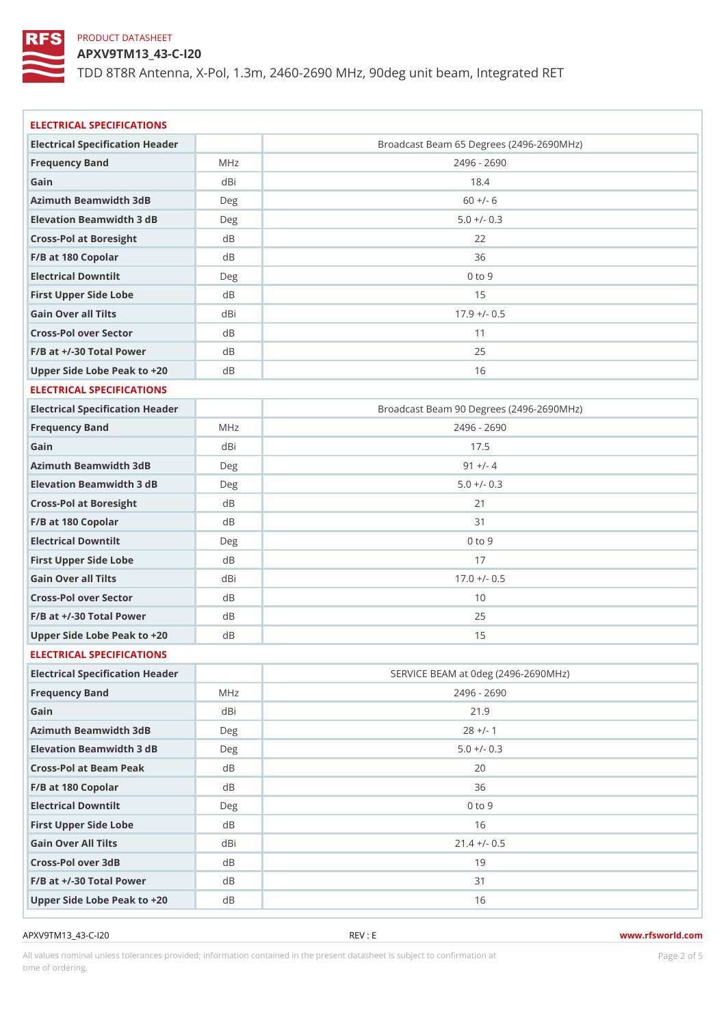APXV9TM13\_43-C-I20

TDD 8T8R Antenna, X-Pol, 1.3m, 2460-2690 MHz, 90deg unit beam, Int

| ELECTRICAL SPECIFICATIONS       |       |                                          |
|---------------------------------|-------|------------------------------------------|
| Electrical Specification Header |       | Broadcast Beam 65 Degrees (2496-2690MHz) |
| Frequency Band                  | MHz   | 2496 - 2690                              |
| Gain                            | dBi   | 18.4                                     |
| Azimuth Beamwidth 3dB           | Deg   | $60 +/- 6$                               |
| Elevation Beamwidth 3 dB        | Deg   | $5.0 +/- 0.3$                            |
| Cross-Pol at Boresight          | d B   | 22                                       |
| F/B at 180 Copolar              | d B   | 36                                       |
| Electrical Downtilt             | D e g | $0$ to $9$                               |
| First Upper Side Lobe           | d B   | 15                                       |
| Gain Over all Tilts             | dBi   | $17.9$ +/- 0.5                           |
| Cross-Pol over Sector           | d B   | 11                                       |
| $F/B$ at $+/-30$ Total Power    | d B   | 25                                       |
| Upper Side Lobe Peak to +20B    |       | 16                                       |
| ELECTRICAL SPECIFICATIONS       |       |                                          |
| Electrical Specification Header |       | Broadcast Beam 90 Degrees (2496-2690MHz) |
| Frequency Band                  | MHz   | 2496 - 2690                              |
| Gain                            | dBi   | 17.5                                     |
| Azimuth Beamwidth 3dB           | Deg   | $91 +/- 4$                               |
| Elevation Beamwidth 3 dB        | Deg   | $5.0 +/- 0.3$                            |
| Cross-Pol at Boresight          | d B   | 21                                       |
| F/B at 180 Copolar              | d B   | 3 <sub>1</sub>                           |
| Electrical Downtilt             | Deg   | $0$ to $9$                               |
| First Upper Side Lobe           | d B   | 17                                       |
| Gain Over all Tilts             | dBi   | $17.0 +/- 0.5$                           |
| Cross-Pol over Sector           | d B   | 10                                       |
| $F/B$ at $+/-30$ Total Power    | d B   | 25                                       |
| Upper Side Lobe Peak to +20B    |       | 15                                       |
| ELECTRICAL SPECIFICATIONS       |       |                                          |
| Electrical Specification Header |       | SERVICE BEAM at Odeg (2496-2690MHz)      |
| Frequency Band                  | M H z | 2496 - 2690                              |
| Gain                            | dBi   | 21.9                                     |
| Azimuth Beamwidth 3dB           | Deg   | $28 +/- 1$                               |
| Elevation Beamwidth 3 dB        | Deg   | $5.0 +/- 0.3$                            |
| Cross-Pol at Beam Peak          | d B   | 20                                       |
| F/B at 180 Copolar              | d B   | 36                                       |
| Electrical Downtilt             | D e g | $0$ to $9$                               |
| First Upper Side Lobe           | d B   | 16                                       |
| Gain Over All Tilts             | dBi   | $21.4$ +/- 0.5                           |
| Cross-Pol over 3dB              | d B   | 19                                       |
| $F/B$ at $+/-30$ Total Power    | d B   | 31                                       |
| Upper Side Lobe Peak to +20B    |       | 16                                       |

APXV9TM13\_43-C-I20 REV : E www.rfsworld.com

All values nominal unless tolerances provided; information contained in the present datasheet is subject to Pcaognéio 21 matio time of ordering.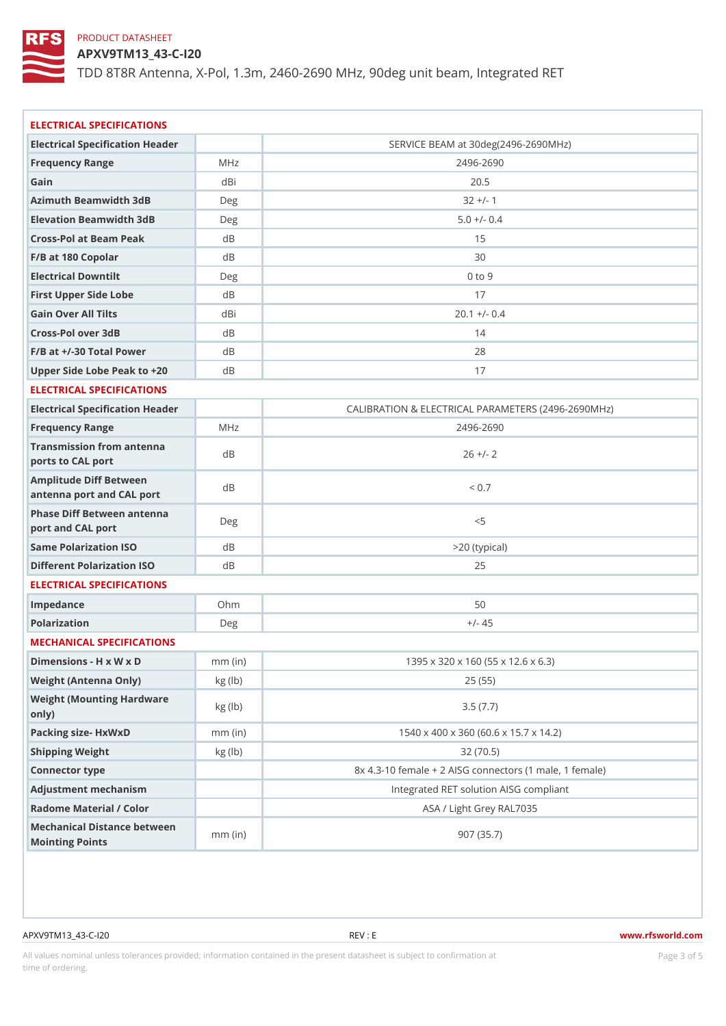APXV9TM13\_43-C-I20

TDD 8T8R Antenna, X-Pol, 1.3m, 2460-2690 MHz, 90deg unit beam, Int

| ELECTRICAL SPECIFICATIONS                            |                                   |                                                       |  |
|------------------------------------------------------|-----------------------------------|-------------------------------------------------------|--|
| Electrical Specification Header                      |                                   | SERVICE BEAM at 30deg(2496-2690MHz)                   |  |
| Frequency Range                                      | MHz                               | $2496 - 2690$                                         |  |
| Gain                                                 | dBi                               | 20.5                                                  |  |
| Azimuth Beamwidth 3dB                                | Deg                               | $32 +/- 1$                                            |  |
| Elevation Beamwidth 3dB                              | Deg                               | $5.0 +/- 0.4$                                         |  |
| Cross-Pol at Beam Peak                               | d B                               | 15                                                    |  |
| F/B at 180 Copolar                                   | $d$ B                             | 30                                                    |  |
| Electrical Downtilt                                  | D e g                             | $0$ to $9$                                            |  |
| First Upper Side Lobe                                | d B                               | 17                                                    |  |
| Gain Over All Tilts                                  | dBi                               | $20.1 +/- 0.4$                                        |  |
| Cross-Pol over 3dB                                   | d B                               | 14                                                    |  |
| $F/B$ at $+/-30$ Total Power                         | d B                               | 28                                                    |  |
| Upper Side Lobe Peak to +20B                         |                                   | 17                                                    |  |
| ELECTRICAL SPECIFICATIONS                            |                                   |                                                       |  |
| Electrical Specification Header                      |                                   | CALIBRATION & ELECTRICAL PARAMETERS (2496-269         |  |
| Frequency Range                                      | MHz                               | $2496 - 2690$                                         |  |
| Transmission from antenna<br>ports to CAL port       | d B                               | $26 +/- 2$                                            |  |
| Amplitude Diff Between<br>antenna port and CAL port  | d B                               | < 0.7                                                 |  |
| Phase Diff Between ant anna Deg<br>port and CAL port |                                   | < 5                                                   |  |
| Same Polarization ISO                                | d B                               | >20 (typical)                                         |  |
| Different Polarization ISO dB                        |                                   | 25                                                    |  |
| ELECTRICAL SPECIFICATIONS                            |                                   |                                                       |  |
| Impedance                                            | Ohm                               | 50                                                    |  |
| Polarization                                         | Deg                               | $+/- 45$                                              |  |
| MECHANICAL SPECIFICATIONS                            |                                   |                                                       |  |
| Dimensions - H x W x D                               | $mm$ (in)                         | 1395 x 320 x 160 (55 x 12.6 x 6.3)                    |  |
| Weight (Antenna Only)                                | kg (1b)                           | 25(55)                                                |  |
| Weight (Mounting Hardware kg (lb)<br>only)           |                                   | 3.5(7.7)                                              |  |
| Packing size- HxWxD                                  | $mm$ (in)                         | 1540 x 400 x 360 (60.6 x 15.7 x 14.2)                 |  |
| Shipping Weight                                      | kg (1b)                           | 32(70.5)                                              |  |
| Connector type                                       |                                   | $8x$ 4.3-10 female + 2 AISG connectors (1 male, 1 fem |  |
| Adjustment mechanism                                 |                                   | Integrated RET solution AISG compliant                |  |
| Radome Material / Color                              |                                   | ASA / Light Grey RAL7035                              |  |
| Mechanical Distance between<br>Mointing Points       | $\widetilde{m}\widetilde{m}$ (in) | 907(35.7)                                             |  |
|                                                      |                                   |                                                       |  |

APXV9TM13\_43-C-I20 REV : E www.rfsworld.com

All values nominal unless tolerances provided; information contained in the present datasheet is subject to Pcaognéioßh Ssti time of ordering.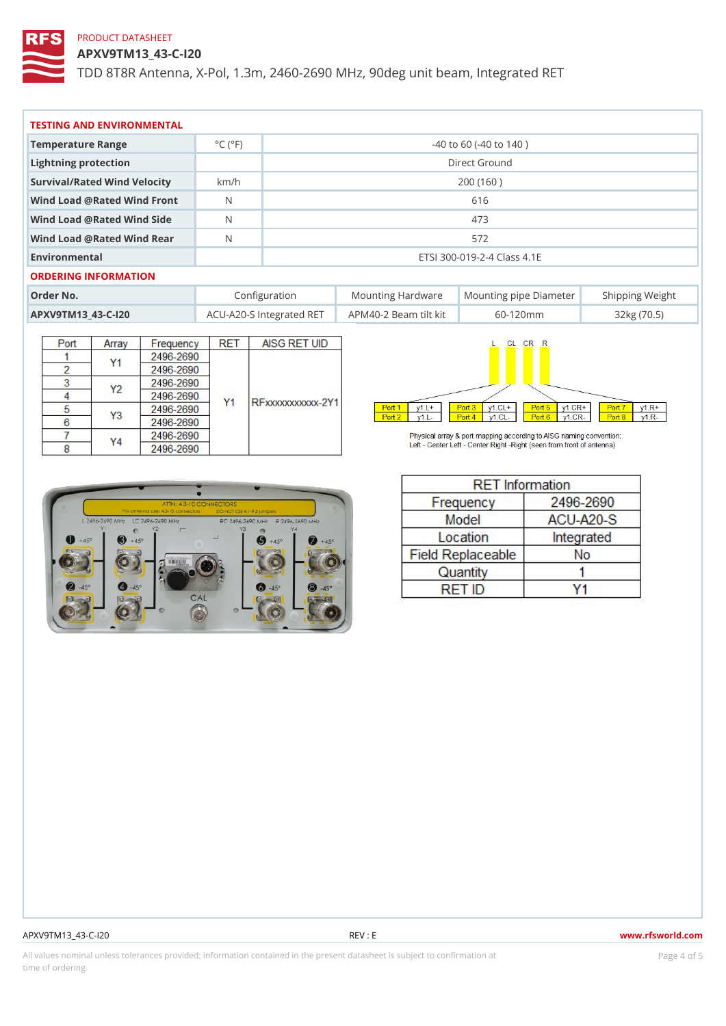APXV9TM13\_43-C-I20

TDD 8T8R Antenna, X-Pol, 1.3m, 2460-2690 MHz, 90deg unit beam, Int

| TESTING AND ENVIRONMENTAL      |                             |                             |                                                      |  |  |  |  |  |                  |  |
|--------------------------------|-----------------------------|-----------------------------|------------------------------------------------------|--|--|--|--|--|------------------|--|
| Temperature Range              | $^{\circ}$ C ( $^{\circ}$ F | $-40$ to 60 ( $-40$ to 140) |                                                      |  |  |  |  |  |                  |  |
| Lightning protection           |                             | Direct Ground               |                                                      |  |  |  |  |  |                  |  |
| Survival/Rated Wind Velocikm/h |                             | 200 (160)                   |                                                      |  |  |  |  |  |                  |  |
| Wind Load @ Rated Wind Front   |                             | 616                         |                                                      |  |  |  |  |  |                  |  |
| Wind Load @ Rated Wind Side    |                             | 473                         |                                                      |  |  |  |  |  |                  |  |
| Wind Load @ Rated Wind ReaN    |                             | 572                         |                                                      |  |  |  |  |  |                  |  |
| Environmental                  |                             | ETSI 300-019-2-4 Class 4.1E |                                                      |  |  |  |  |  |                  |  |
| ORDERING INFORMATION           |                             |                             |                                                      |  |  |  |  |  |                  |  |
| Order No.                      |                             | Configuration               | Mounting HardwaMeunting pipe DiameStheirpping Weight |  |  |  |  |  |                  |  |
| APXV9TM13 43-C-120             |                             |                             | ACU-A20-S IntegrateAdPRME4TO-2 Beam lilt kit60-120mm |  |  |  |  |  | $32$ kg $(70.5)$ |  |